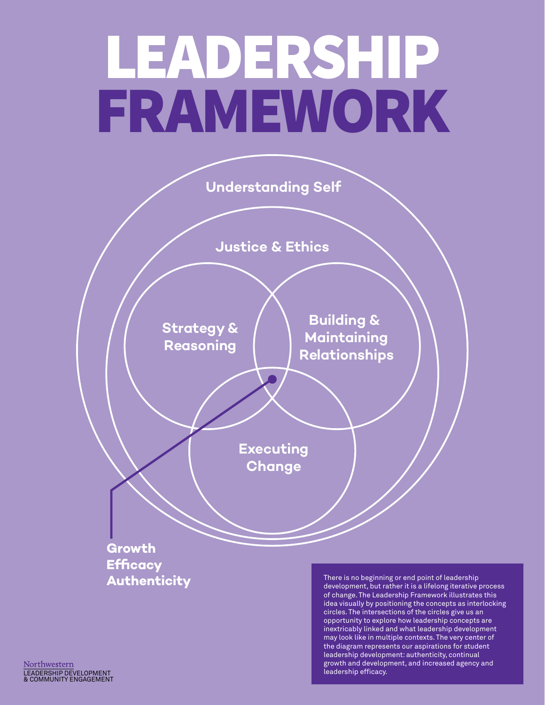# LEADERSHIP FRAMEWORK

**Understanding Self**

**Justice & Ethics**

**Strategy & Reasoning Building & Maintaining Relationships**

> **Executing Change**

**Growth Efficacy Authenticity**

There is no beginning or end point of leadership development, but rather it is a lifelong iterative process of change. The Leadership Framework illustrates this idea visually by positioning the concepts as interlocking circles. The intersections of the circles give us an opportunity to explore how leadership concepts are inextricably linked and what leadership development may look like in multiple contexts. The very center of the diagram represents our aspirations for student leadership development: authenticity, continual growth and development, and increased agency and